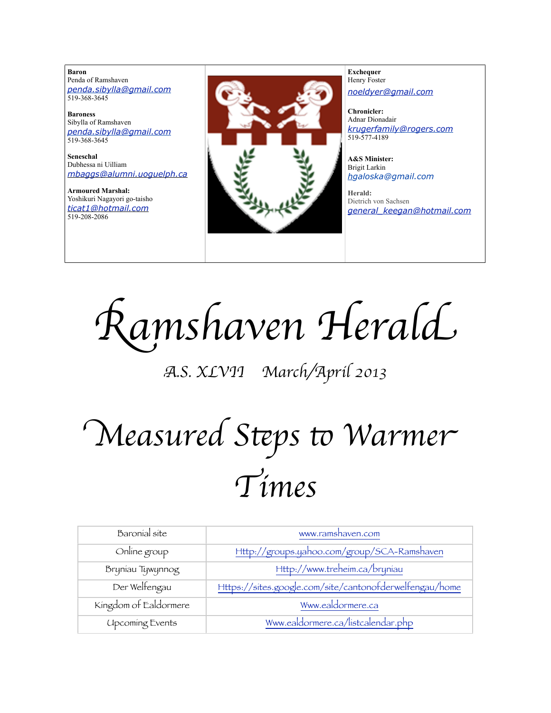**Baron**  Penda of Ramshaven *[penda.sibylla@gmail.com](mailto:penda.sibylla@gmail.com)* 519-368-3645

**Baroness** Sibylla of Ramshaven *[penda.sibylla@gmail.com](mailto:penda.sibylla@gmail.com)* 519-368-3645

**Seneschal** Dubhessa ni Uilliam *[mbaggs@alumni.uoguelph.ca](mailto:patchett@sympatico.ca)*

**Armoured Marshal:** Yoshikuri Nagayori go-taisho *[ticat1@hotmail.com](mailto:ticat1@hotmail.com)* 519-208-2086



**Exchequer** Henry Foster *[noeldyer@gmail.com](mailto:noeldyer@gmail.com)*

**Chronicler:** Adnar Dionadair *[krugerfamily@rogers.com](mailto:erhardkruger@gmail.com)* 519-577-4189

**A&S Minister:** Brigit Larkin *hgaloska@gmail.com*

**Herald:** Dietrich von Sachsen *[general\\_keegan@hotmail.com](mailto:general_keegan@hotmail.com)*

R*amshaven Heral*d

A*.S. XLVII March/April 2013*

# M*easured S*%*ps* & *Warme*r T*ime*s

| Baronial site          | www.ramshaven.com                                       |
|------------------------|---------------------------------------------------------|
| Online group           | Http://groups.yahoo.com/group/SCA-Ramshaven             |
| Bryniau Tywynnog       | Http://www.treheim.ca/bryniau                           |
| Der Welfengau          | Https://sites.google.com/site/cantonofderwelfengau/home |
| Kingdom of Ealdormere  | Www.ealdormere.ca                                       |
| <b>Upcoming Events</b> | Www.ealdormere.ca/listcalendar.php                      |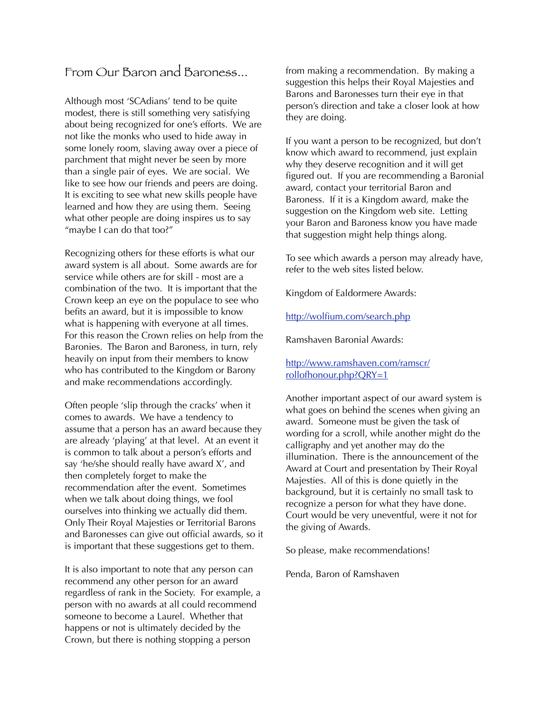## From Our Baron and Baroness...

Although most 'SCAdians' tend to be quite modest, there is still something very satisfying about being recognized for one's efforts. We are not like the monks who used to hide away in some lonely room, slaving away over a piece of parchment that might never be seen by more than a single pair of eyes. We are social. We like to see how our friends and peers are doing. It is exciting to see what new skills people have learned and how they are using them. Seeing what other people are doing inspires us to say "maybe I can do that too?"

Recognizing others for these efforts is what our award system is all about. Some awards are for service while others are for skill - most are a combination of the two. It is important that the Crown keep an eye on the populace to see who befits an award, but it is impossible to know what is happening with everyone at all times. For this reason the Crown relies on help from the Baronies. The Baron and Baroness, in turn, rely heavily on input from their members to know who has contributed to the Kingdom or Barony and make recommendations accordingly.

Often people 'slip through the cracks' when it comes to awards. We have a tendency to assume that a person has an award because they are already 'playing' at that level. At an event it is common to talk about a person's efforts and say 'he/she should really have award X', and then completely forget to make the recommendation after the event. Sometimes when we talk about doing things, we fool ourselves into thinking we actually did them. Only Their Royal Majesties or Territorial Barons and Baronesses can give out official awards, so it is important that these suggestions get to them.

It is also important to note that any person can recommend any other person for an award regardless of rank in the Society. For example, a person with no awards at all could recommend someone to become a Laurel. Whether that happens or not is ultimately decided by the Crown, but there is nothing stopping a person

from making a recommendation. By making a suggestion this helps their Royal Majesties and Barons and Baronesses turn their eye in that person's direction and take a closer look at how they are doing.

If you want a person to be recognized, but don't know which award to recommend, just explain why they deserve recognition and it will get figured out. If you are recommending a Baronial award, contact your territorial Baron and Baroness. If it is a Kingdom award, make the suggestion on the Kingdom web site. Letting your Baron and Baroness know you have made that suggestion might help things along.

To see which awards a person may already have, refer to the web sites listed below.

Kingdom of Ealdormere Awards:

### <http://wolfium.com/search.php>

Ramshaven Baronial Awards:

## [http://www.ramshaven.com/ramscr/](http://www.ramshaven.com/ramscr/rollofhonour.php?QRY=1) [rollofhonour.php?QRY=1](http://www.ramshaven.com/ramscr/rollofhonour.php?QRY=1)

Another important aspect of our award system is what goes on behind the scenes when giving an award. Someone must be given the task of wording for a scroll, while another might do the calligraphy and yet another may do the illumination. There is the announcement of the Award at Court and presentation by Their Royal Majesties. All of this is done quietly in the background, but it is certainly no small task to recognize a person for what they have done. Court would be very uneventful, were it not for the giving of Awards.

So please, make recommendations!

Penda, Baron of Ramshaven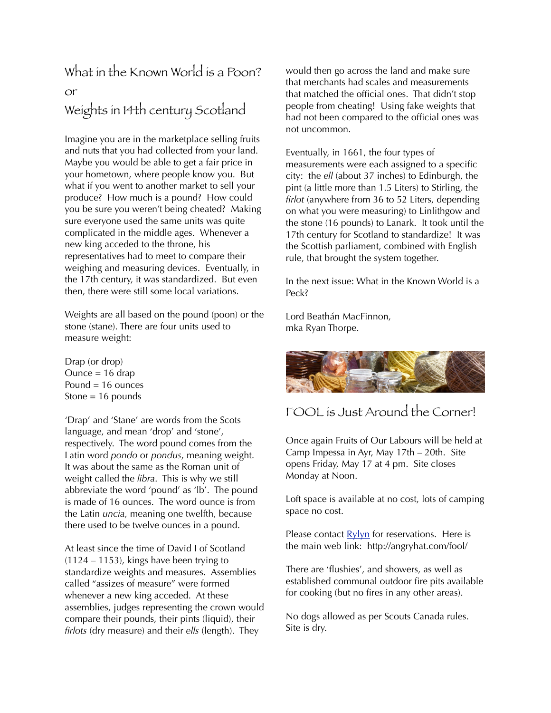# What in the Known World is a Poon? or Weights in 14th century Scotland

Imagine you are in the marketplace selling fruits and nuts that you had collected from your land. Maybe you would be able to get a fair price in your hometown, where people know you. But what if you went to another market to sell your produce? How much is a pound? How could you be sure you weren't being cheated? Making sure everyone used the same units was quite complicated in the middle ages. Whenever a new king acceded to the throne, his representatives had to meet to compare their weighing and measuring devices. Eventually, in the 17th century, it was standardized. But even then, there were still some local variations.

Weights are all based on the pound (poon) or the stone (stane). There are four units used to measure weight:

Drap (or drop) Ounce  $= 16$  drap Pound  $= 16$  ounces Stone  $= 16$  pounds

'Drap' and 'Stane' are words from the Scots language, and mean 'drop' and 'stone', respectively. The word pound comes from the Latin word *pondo* or *pondus*, meaning weight. It was about the same as the Roman unit of weight called the *libra*. This is why we still abbreviate the word 'pound' as 'lb'. The pound is made of 16 ounces. The word ounce is from the Latin *uncia*, meaning one twelfth, because there used to be twelve ounces in a pound.

At least since the time of David I of Scotland (1124 – 1153), kings have been trying to standardize weights and measures. Assemblies called "assizes of measure" were formed whenever a new king acceded. At these assemblies, judges representing the crown would compare their pounds, their pints (liquid), their *firlots* (dry measure) and their *ells* (length). They

would then go across the land and make sure that merchants had scales and measurements that matched the official ones. That didn't stop people from cheating! Using fake weights that had not been compared to the official ones was not uncommon.

Eventually, in 1661, the four types of measurements were each assigned to a specific city: the *ell* (about 37 inches) to Edinburgh, the pint (a little more than 1.5 Liters) to Stirling, the *firlot* (anywhere from 36 to 52 Liters, depending on what you were measuring) to Linlithgow and the stone (16 pounds) to Lanark. It took until the 17th century for Scotland to standardize! It was the Scottish parliament, combined with English rule, that brought the system together.

In the next issue: What in the Known World is a Peck?

Lord Beathán MacFinnon, mka Ryan Thorpe.



## FOOL is Just Around the Corner!

Once again Fruits of Our Labours will be held at Camp Impessa in Ayr, May 17th – 20th. Site opens Friday, May 17 at 4 pm. Site closes Monday at Noon.

Loft space is available at no cost, lots of camping space no cost.

Please contact [Rylyn](mailto:patchett@sympatico.ca) for reservations. Here is the main web link: [http://angryhat.com/fool/](http://angryhat.com/fool/*)

There are 'flushies', and showers, as well as established communal outdoor fire pits available for cooking (but no fires in any other areas).

No dogs allowed as per Scouts Canada rules. Site is dry.